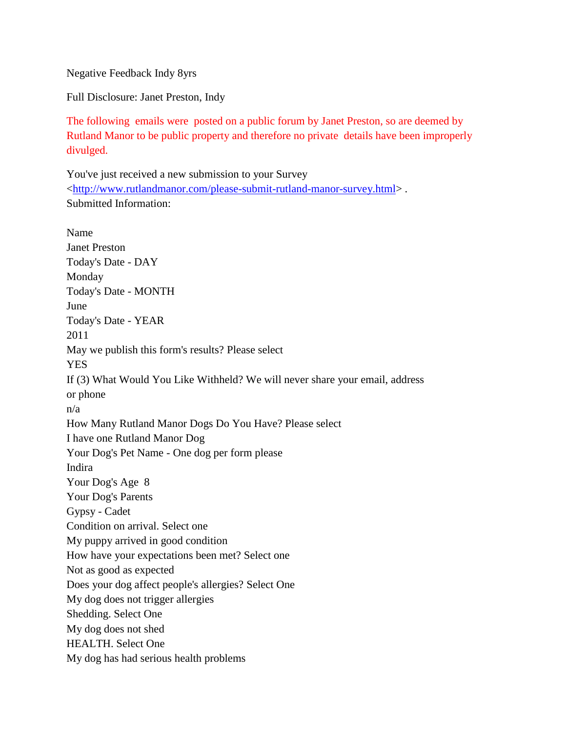Negative Feedback Indy 8yrs

Full Disclosure: Janet Preston, Indy

The following emails were posted on a public forum by Janet Preston, so are deemed by Rutland Manor to be public property and therefore no private details have been improperly divulged.

You've just received a new submission to your Survey [<http://www.rutlandmanor.com/please-submit-rutland-manor-survey.html>](http://www.rutlandmanor.com/please-submit-rutland-manor-survey.html) . Submitted Information:

Name Janet Preston Today's Date - DAY Monday Today's Date - MONTH June Today's Date - YEAR 2011 May we publish this form's results? Please select **YES** If (3) What Would You Like Withheld? We will never share your email, address or phone n/a How Many Rutland Manor Dogs Do You Have? Please select I have one Rutland Manor Dog Your Dog's Pet Name - One dog per form please Indira Your Dog's Age 8 Your Dog's Parents Gypsy - Cadet Condition on arrival. Select one My puppy arrived in good condition How have your expectations been met? Select one Not as good as expected Does your dog affect people's allergies? Select One My dog does not trigger allergies Shedding. Select One My dog does not shed HEALTH. Select One My dog has had serious health problems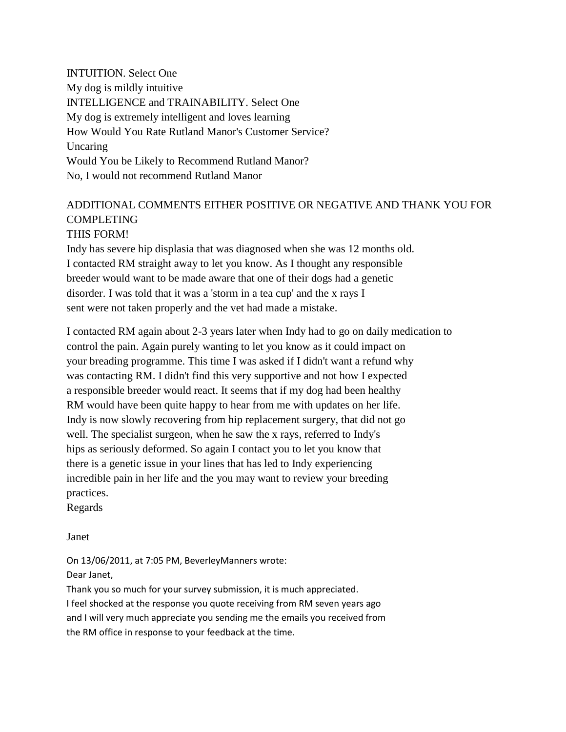INTUITION. Select One My dog is mildly intuitive INTELLIGENCE and TRAINABILITY. Select One My dog is extremely intelligent and loves learning How Would You Rate Rutland Manor's Customer Service? Uncaring Would You be Likely to Recommend Rutland Manor? No, I would not recommend Rutland Manor

## ADDITIONAL COMMENTS EITHER POSITIVE OR NEGATIVE AND THANK YOU FOR **COMPLETING** THIS FORM!

Indy has severe hip displasia that was diagnosed when she was 12 months old. I contacted RM straight away to let you know. As I thought any responsible breeder would want to be made aware that one of their dogs had a genetic disorder. I was told that it was a 'storm in a tea cup' and the x rays I sent were not taken properly and the vet had made a mistake.

I contacted RM again about 2-3 years later when Indy had to go on daily medication to control the pain. Again purely wanting to let you know as it could impact on your breading programme. This time I was asked if I didn't want a refund why was contacting RM. I didn't find this very supportive and not how I expected a responsible breeder would react. It seems that if my dog had been healthy RM would have been quite happy to hear from me with updates on her life. Indy is now slowly recovering from hip replacement surgery, that did not go well. The specialist surgeon, when he saw the x rays, referred to Indy's hips as seriously deformed. So again I contact you to let you know that there is a genetic issue in your lines that has led to Indy experiencing incredible pain in her life and the you may want to review your breeding practices.

Regards

Janet

On 13/06/2011, at 7:05 PM, BeverleyManners wrote: Dear Janet,

Thank you so much for your survey submission, it is much appreciated. I feel shocked at the response you quote receiving from RM seven years ago and I will very much appreciate you sending me the emails you received from the RM office in response to your feedback at the time.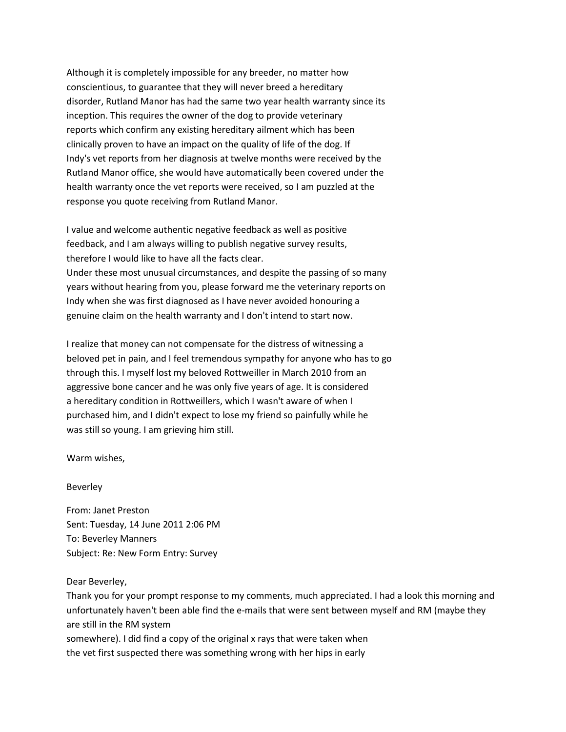Although it is completely impossible for any breeder, no matter how conscientious, to guarantee that they will never breed a hereditary disorder, Rutland Manor has had the same two year health warranty since its inception. This requires the owner of the dog to provide veterinary reports which confirm any existing hereditary ailment which has been clinically proven to have an impact on the quality of life of the dog. If Indy's vet reports from her diagnosis at twelve months were received by the Rutland Manor office, she would have automatically been covered under the health warranty once the vet reports were received, so I am puzzled at the response you quote receiving from Rutland Manor.

I value and welcome authentic negative feedback as well as positive feedback, and I am always willing to publish negative survey results, therefore I would like to have all the facts clear. Under these most unusual circumstances, and despite the passing of so many years without hearing from you, please forward me the veterinary reports on Indy when she was first diagnosed as I have never avoided honouring a genuine claim on the health warranty and I don't intend to start now.

I realize that money can not compensate for the distress of witnessing a beloved pet in pain, and I feel tremendous sympathy for anyone who has to go through this. I myself lost my beloved Rottweiller in March 2010 from an aggressive bone cancer and he was only five years of age. It is considered a hereditary condition in Rottweillers, which I wasn't aware of when I purchased him, and I didn't expect to lose my friend so painfully while he was still so young. I am grieving him still.

Warm wishes,

Beverley

From: Janet Preston Sent: Tuesday, 14 June 2011 2:06 PM To: Beverley Manners Subject: Re: New Form Entry: Survey

Dear Beverley,

Thank you for your prompt response to my comments, much appreciated. I had a look this morning and unfortunately haven't been able find the e-mails that were sent between myself and RM (maybe they are still in the RM system somewhere). I did find a copy of the original x rays that were taken when the vet first suspected there was something wrong with her hips in early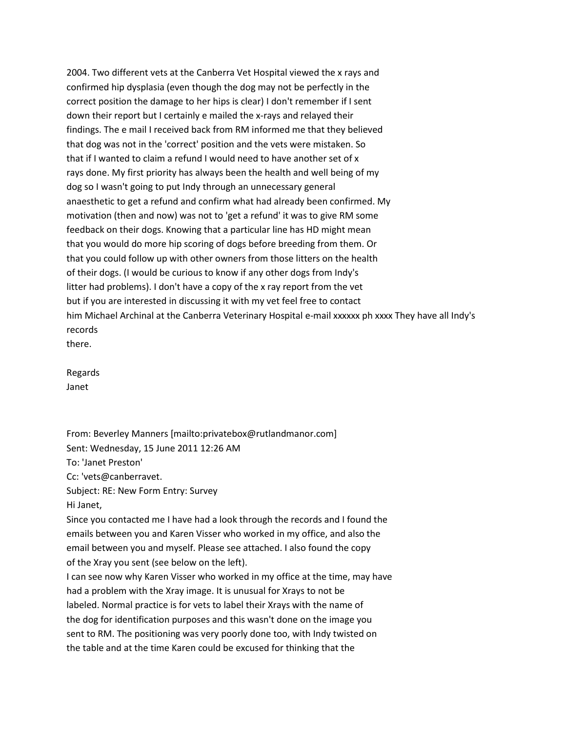2004. Two different vets at the Canberra Vet Hospital viewed the x rays and confirmed hip dysplasia (even though the dog may not be perfectly in the correct position the damage to her hips is clear) I don't remember if I sent down their report but I certainly e mailed the x-rays and relayed their findings. The e mail I received back from RM informed me that they believed that dog was not in the 'correct' position and the vets were mistaken. So that if I wanted to claim a refund I would need to have another set of x rays done. My first priority has always been the health and well being of my dog so I wasn't going to put Indy through an unnecessary general anaesthetic to get a refund and confirm what had already been confirmed. My motivation (then and now) was not to 'get a refund' it was to give RM some feedback on their dogs. Knowing that a particular line has HD might mean that you would do more hip scoring of dogs before breeding from them. Or that you could follow up with other owners from those litters on the health of their dogs. (I would be curious to know if any other dogs from Indy's litter had problems). I don't have a copy of the x ray report from the vet but if you are interested in discussing it with my vet feel free to contact him Michael Archinal at the Canberra Veterinary Hospital e-mail xxxxxx ph xxxx They have all Indy's records

there.

Regards Janet

From: Beverley Manners [mailto:privatebox@rutlandmanor.com] Sent: Wednesday, 15 June 2011 12:26 AM To: 'Janet Preston' Cc: 'vets@canberravet. Subject: RE: New Form Entry: Survey Hi Janet, Since you contacted me I have had a look through the records and I found the emails between you and Karen Visser who worked in my office, and also the email between you and myself. Please see attached. I also found the copy of the Xray you sent (see below on the left).

I can see now why Karen Visser who worked in my office at the time, may have had a problem with the Xray image. It is unusual for Xrays to not be labeled. Normal practice is for vets to label their Xrays with the name of the dog for identification purposes and this wasn't done on the image you sent to RM. The positioning was very poorly done too, with Indy twisted on the table and at the time Karen could be excused for thinking that the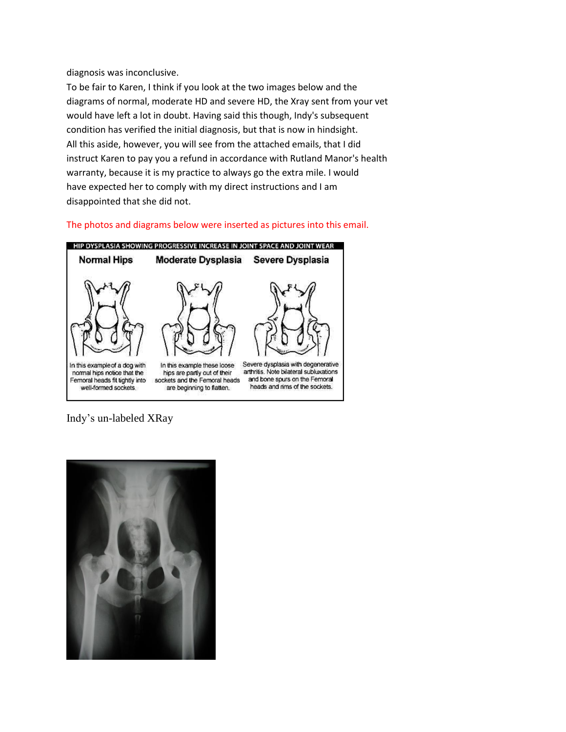diagnosis was inconclusive.

To be fair to Karen, I think if you look at the two images below and the diagrams of normal, moderate HD and severe HD, the Xray sent from your vet would have left a lot in doubt. Having said this though, Indy's subsequent condition has verified the initial diagnosis, but that is now in hindsight. All this aside, however, you will see from the attached emails, that I did instruct Karen to pay you a refund in accordance with Rutland Manor's health warranty, because it is my practice to always go the extra mile. I would have expected her to comply with my direct instructions and I am disappointed that she did not.

The photos and diagrams below were inserted as pictures into this email.



Indy's un-labeled XRay

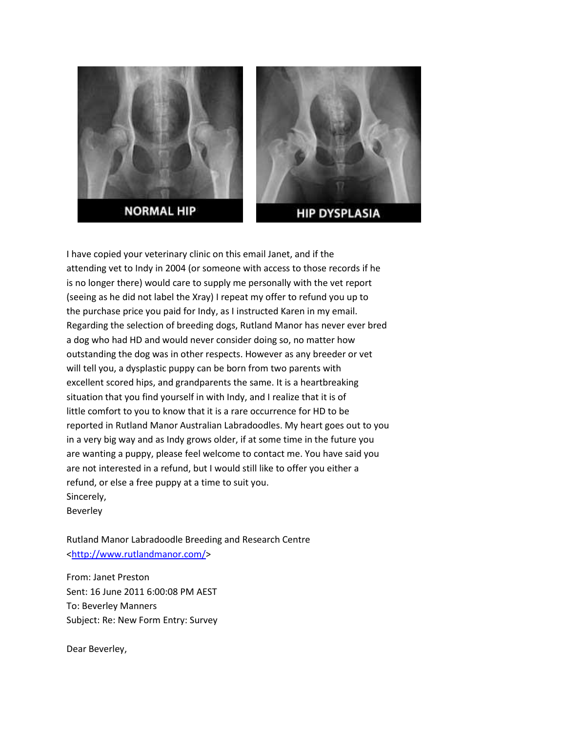



**HIP DYSPLASIA** 

I have copied your veterinary clinic on this email Janet, and if the attending vet to Indy in 2004 (or someone with access to those records if he is no longer there) would care to supply me personally with the vet report (seeing as he did not label the Xray) I repeat my offer to refund you up to the purchase price you paid for Indy, as I instructed Karen in my email. Regarding the selection of breeding dogs, Rutland Manor has never ever bred a dog who had HD and would never consider doing so, no matter how outstanding the dog was in other respects. However as any breeder or vet will tell you, a dysplastic puppy can be born from two parents with excellent scored hips, and grandparents the same. It is a heartbreaking situation that you find yourself in with Indy, and I realize that it is of little comfort to you to know that it is a rare occurrence for HD to be reported in Rutland Manor Australian Labradoodles. My heart goes out to you in a very big way and as Indy grows older, if at some time in the future you are wanting a puppy, please feel welcome to contact me. You have said you are not interested in a refund, but I would still like to offer you either a refund, or else a free puppy at a time to suit you. Sincerely,

Beverley

Rutland Manor Labradoodle Breeding and Research Centre [<http://www.rutlandmanor.com/>](http://www.rutlandmanor.com/)

From: Janet Preston Sent: 16 June 2011 6:00:08 PM AEST To: Beverley Manners Subject: Re: New Form Entry: Survey

Dear Beverley,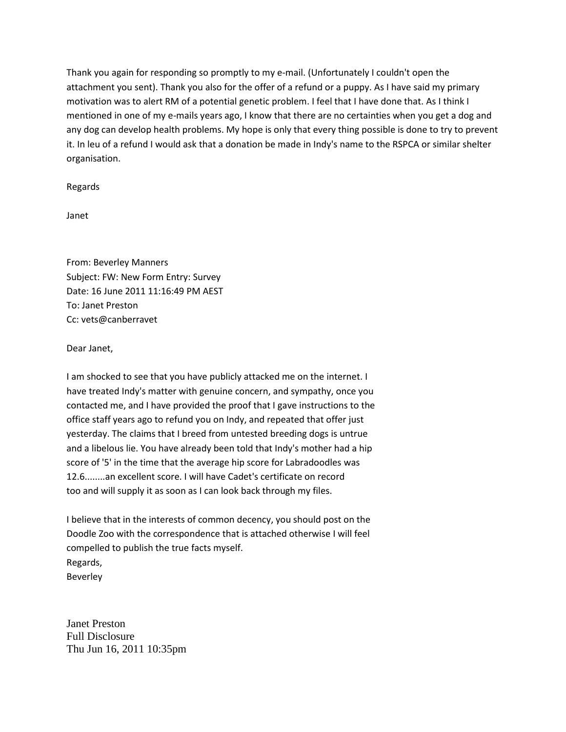Thank you again for responding so promptly to my e-mail. (Unfortunately I couldn't open the attachment you sent). Thank you also for the offer of a refund or a puppy. As I have said my primary motivation was to alert RM of a potential genetic problem. I feel that I have done that. As I think I mentioned in one of my e-mails years ago, I know that there are no certainties when you get a dog and any dog can develop health problems. My hope is only that every thing possible is done to try to prevent it. In leu of a refund I would ask that a donation be made in Indy's name to the RSPCA or similar shelter organisation.

Regards

Janet

From: Beverley Manners Subject: FW: New Form Entry: Survey Date: 16 June 2011 11:16:49 PM AEST To: Janet Preston Cc: vets@canberravet

Dear Janet,

I am shocked to see that you have publicly attacked me on the internet. I have treated Indy's matter with genuine concern, and sympathy, once you contacted me, and I have provided the proof that I gave instructions to the office staff years ago to refund you on Indy, and repeated that offer just yesterday. The claims that I breed from untested breeding dogs is untrue and a libelous lie. You have already been told that Indy's mother had a hip score of '5' in the time that the average hip score for Labradoodles was 12.6........an excellent score. I will have Cadet's certificate on record too and will supply it as soon as I can look back through my files.

I believe that in the interests of common decency, you should post on the Doodle Zoo with the correspondence that is attached otherwise I will feel compelled to publish the true facts myself. Regards, Beverley

Janet Preston Full Disclosure Thu Jun 16, 2011 10:35pm